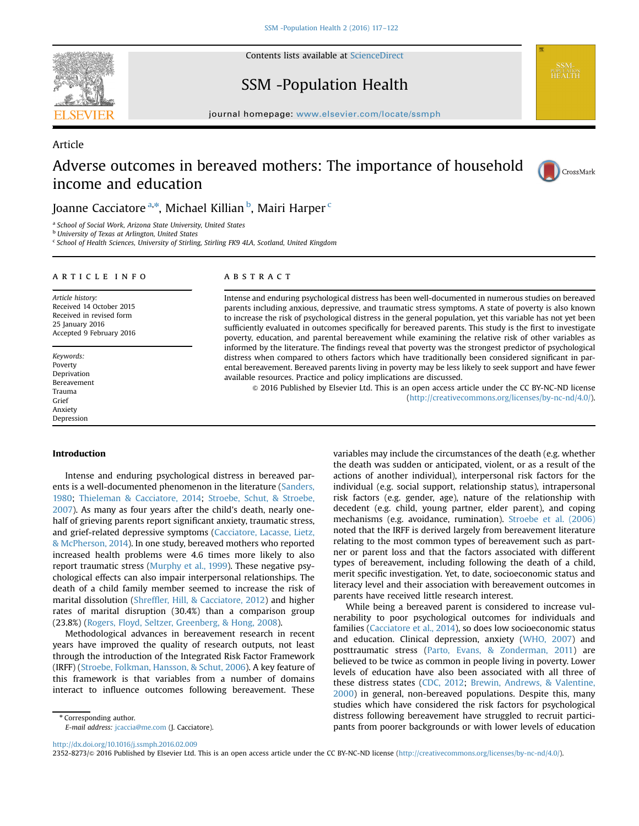

Contents lists available at [ScienceDirect](www.sciencedirect.com/science/journal/23528273)

SSM -Population Health

journal homepage: <www.elsevier.com/locate/ssmph>

## Article

# Adverse outcomes in bereaved mothers: The importance of household income and education



POPULATION<br>HEALTH

## Joanne Cacciatore <sup>a,\*</sup>, Michael Killian <sup>b</sup>, Mairi Harper <sup>c</sup>

a School of Social Work, Arizona State University, United States

**b University of Texas at Arlington, United States** 

<sup>c</sup> School of Health Sciences, University of Stirling, Stirling FK9 4LA, Scotland, United Kingdom

#### article info

Article history: Received 14 October 2015 Received in revised form 25 January 2016 Accepted 9 February 2016

Keywords: Poverty Deprivation Bereavement Trauma Grief Anxiety Depression

## **ABSTRACT**

Intense and enduring psychological distress has been well-documented in numerous studies on bereaved parents including anxious, depressive, and traumatic stress symptoms. A state of poverty is also known to increase the risk of psychological distress in the general population, yet this variable has not yet been sufficiently evaluated in outcomes specifically for bereaved parents. This study is the first to investigate poverty, education, and parental bereavement while examining the relative risk of other variables as informed by the literature. The findings reveal that poverty was the strongest predictor of psychological distress when compared to others factors which have traditionally been considered significant in parental bereavement. Bereaved parents living in poverty may be less likely to seek support and have fewer available resources. Practice and policy implications are discussed.

& 2016 Published by Elsevier Ltd. This is an open access article under the CC BY-NC-ND license (http://creativecommons.org/licenses/by-nc-nd/4.0/).

# Introduction

Intense and enduring psychological distress in bereaved parents is a well-documented phenomenon in the literature (Sanders, 1980; Thieleman & Cacciatore, 2014; Stroebe, Schut, & Stroebe, 2007). As many as four years after the child's death, nearly onehalf of grieving parents report significant anxiety, traumatic stress, and grief-related depressive symptoms (Cacciatore, Lacasse, Lietz, & McPherson, 2014). In one study, bereaved mothers who reported increased health problems were 4.6 times more likely to also report traumatic stress (Murphy et al., 1999). These negative psychological effects can also impair interpersonal relationships. The death of a child family member seemed to increase the risk of marital dissolution (Shreffler, Hill, & Cacciatore, 2012) and higher rates of marital disruption (30.4%) than a comparison group (23.8%) (Rogers, Floyd, Seltzer, Greenberg, & Hong, 2008).

Methodological advances in bereavement research in recent years have improved the quality of research outputs, not least through the introduction of the Integrated Risk Factor Framework (IRFF) (Stroebe, Folkman, Hansson, & Schut, 2006). A key feature of this framework is that variables from a number of domains interact to influence outcomes following bereavement. These

E-mail address: [jcaccia@me.com](mailto:jcaccia@me.com) (J. Cacciatore).

variables may include the circumstances of the death (e.g. whether the death was sudden or anticipated, violent, or as a result of the actions of another individual), interpersonal risk factors for the individual (e.g. social support, relationship status), intrapersonal risk factors (e.g. gender, age), nature of the relationship with decedent (e.g. child, young partner, elder parent), and coping mechanisms (e.g. avoidance, rumination). Stroebe et al. (2006) noted that the IRFF is derived largely from bereavement literature relating to the most common types of bereavement such as partner or parent loss and that the factors associated with different types of bereavement, including following the death of a child, merit specific investigation. Yet, to date, socioeconomic status and literacy level and their association with bereavement outcomes in parents have received little research interest.

While being a bereaved parent is considered to increase vulnerability to poor psychological outcomes for individuals and families (Cacciatore et al., 2014), so does low socioeconomic status and education. Clinical depression, anxiety (WHO, 2007) and posttraumatic stress (Parto, Evans, & Zonderman, 2011) are believed to be twice as common in people living in poverty. Lower levels of education have also been associated with all three of these distress states (CDC, 2012; Brewin, Andrews, & Valentine, 2000) in general, non-bereaved populations. Despite this, many studies which have considered the risk factors for psychological distress following bereavement have struggled to recruit participants from poorer backgrounds or with lower levels of education

<http://dx.doi.org/10.1016/j.ssmph.2016.02.009>

2352-8273/@ 2016 Published by Elsevier Ltd. This is an open access article under the CC BY-NC-ND license (http://creativecommons.org/licenses/by-nc-nd/4.0/).

<sup>\*</sup> Corresponding author.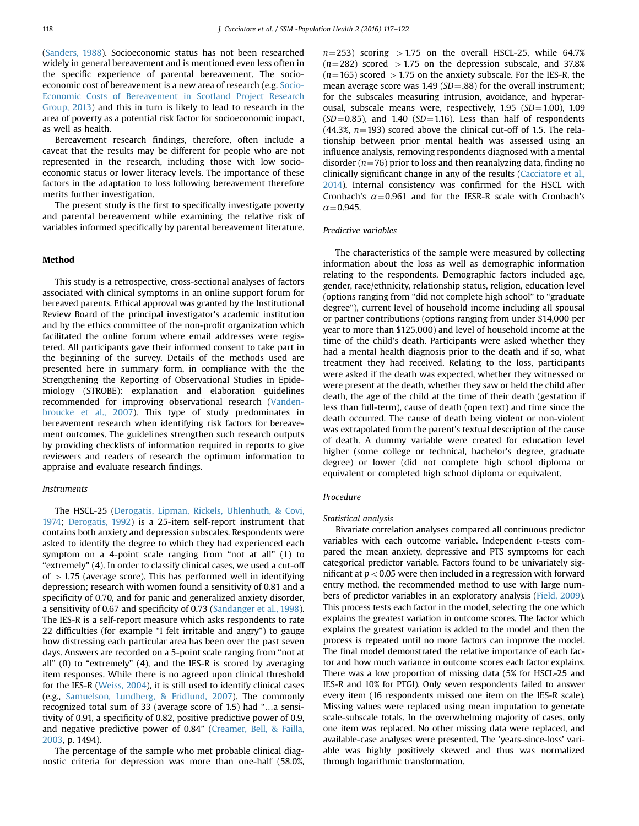(Sanders, 1988). Socioeconomic status has not been researched widely in general bereavement and is mentioned even less often in the specific experience of parental bereavement. The socioeconomic cost of bereavement is a new area of research (e.g. Socio-Economic Costs of Bereavement in Scotland Project Research Group, 2013) and this in turn is likely to lead to research in the area of poverty as a potential risk factor for socioeconomic impact, as well as health.

Bereavement research findings, therefore, often include a caveat that the results may be different for people who are not represented in the research, including those with low socioeconomic status or lower literacy levels. The importance of these factors in the adaptation to loss following bereavement therefore merits further investigation.

The present study is the first to specifically investigate poverty and parental bereavement while examining the relative risk of variables informed specifically by parental bereavement literature.

## Method

This study is a retrospective, cross-sectional analyses of factors associated with clinical symptoms in an online support forum for bereaved parents. Ethical approval was granted by the Institutional Review Board of the principal investigator's academic institution and by the ethics committee of the non-profit organization which facilitated the online forum where email addresses were registered. All participants gave their informed consent to take part in the beginning of the survey. Details of the methods used are presented here in summary form, in compliance with the the Strengthening the Reporting of Observational Studies in Epidemiology (STROBE): explanation and elaboration guidelines recommended for improving observational research (Vandenbroucke et al., 2007). This type of study predominates in bereavement research when identifying risk factors for bereavement outcomes. The guidelines strengthen such research outputs by providing checklists of information required in reports to give reviewers and readers of research the optimum information to appraise and evaluate research findings.

#### Instruments

The HSCL-25 (Derogatis, Lipman, Rickels, Uhlenhuth, & Covi, 1974; Derogatis, 1992) is a 25-item self-report instrument that contains both anxiety and depression subscales. Respondents were asked to identify the degree to which they had experienced each symptom on a 4-point scale ranging from "not at all" (1) to "extremely" (4). In order to classify clinical cases, we used a cut-off of  $>$  1.75 (average score). This has performed well in identifying depression; research with women found a sensitivity of 0.81 and a specificity of 0.70, and for panic and generalized anxiety disorder, a sensitivity of 0.67 and specificity of 0.73 (Sandanger et al., 1998). The IES-R is a self-report measure which asks respondents to rate 22 difficulties (for example "I felt irritable and angry") to gauge how distressing each particular area has been over the past seven days. Answers are recorded on a 5-point scale ranging from "not at all" (0) to "extremely" (4), and the IES-R is scored by averaging item responses. While there is no agreed upon clinical threshold for the IES-R (Weiss, 2004), it is still used to identify clinical cases (e.g., Samuelson, Lundberg, & Fridlund, 2007). The commonly recognized total sum of 33 (average score of 1.5) had "…a sensitivity of 0.91, a specificity of 0.82, positive predictive power of 0.9, and negative predictive power of 0.84" (Creamer, Bell, & Failla, 2003, p. 1494).

The percentage of the sample who met probable clinical diagnostic criteria for depression was more than one-half (58.0%,  $n=253$ ) scoring > 1.75 on the overall HSCL-25, while 64.7%  $(n=282)$  scored  $>1.75$  on the depression subscale, and 37.8%  $(n=165)$  scored  $>1.75$  on the anxiety subscale. For the IES-R, the mean average score was  $1.49$  ( $SD = .88$ ) for the overall instrument; for the subscales measuring intrusion, avoidance, and hyperarousal, subscale means were, respectively,  $1.95$  (SD = 1.00), 1.09  $(SD=0.85)$ , and 1.40  $(SD=1.16)$ . Less than half of respondents (44.3%,  $n=193$ ) scored above the clinical cut-off of 1.5. The relationship between prior mental health was assessed using an influence analysis, removing respondents diagnosed with a mental disorder ( $n=76$ ) prior to loss and then reanalyzing data, finding no clinically significant change in any of the results (Cacciatore et al., 2014). Internal consistency was confirmed for the HSCL with Cronbach's  $\alpha$ =0.961 and for the IESR-R scale with Cronbach's  $\alpha = 0.945$ .

#### Predictive variables

The characteristics of the sample were measured by collecting information about the loss as well as demographic information relating to the respondents. Demographic factors included age, gender, race/ethnicity, relationship status, religion, education level (options ranging from "did not complete high school" to "graduate degree"), current level of household income including all spousal or partner contributions (options ranging from under \$14,000 per year to more than \$125,000) and level of household income at the time of the child's death. Participants were asked whether they had a mental health diagnosis prior to the death and if so, what treatment they had received. Relating to the loss, participants were asked if the death was expected, whether they witnessed or were present at the death, whether they saw or held the child after death, the age of the child at the time of their death (gestation if less than full-term), cause of death (open text) and time since the death occurred. The cause of death being violent or non-violent was extrapolated from the parent's textual description of the cause of death. A dummy variable were created for education level higher (some college or technical, bachelor's degree, graduate degree) or lower (did not complete high school diploma or equivalent or completed high school diploma or equivalent.

## Procedure

#### Statistical analysis

Bivariate correlation analyses compared all continuous predictor variables with each outcome variable. Independent t-tests compared the mean anxiety, depressive and PTS symptoms for each categorical predictor variable. Factors found to be univariately significant at  $p < 0.05$  were then included in a regression with forward entry method, the recommended method to use with large numbers of predictor variables in an exploratory analysis (Field, 2009). This process tests each factor in the model, selecting the one which explains the greatest variation in outcome scores. The factor which explains the greatest variation is added to the model and then the process is repeated until no more factors can improve the model. The final model demonstrated the relative importance of each factor and how much variance in outcome scores each factor explains. There was a low proportion of missing data (5% for HSCL-25 and IES-R and 10% for PTGI). Only seven respondents failed to answer every item (16 respondents missed one item on the IES-R scale). Missing values were replaced using mean imputation to generate scale-subscale totals. In the overwhelming majority of cases, only one item was replaced. No other missing data were replaced, and available-case analyses were presented. The 'years-since-loss' variable was highly positively skewed and thus was normalized through logarithmic transformation.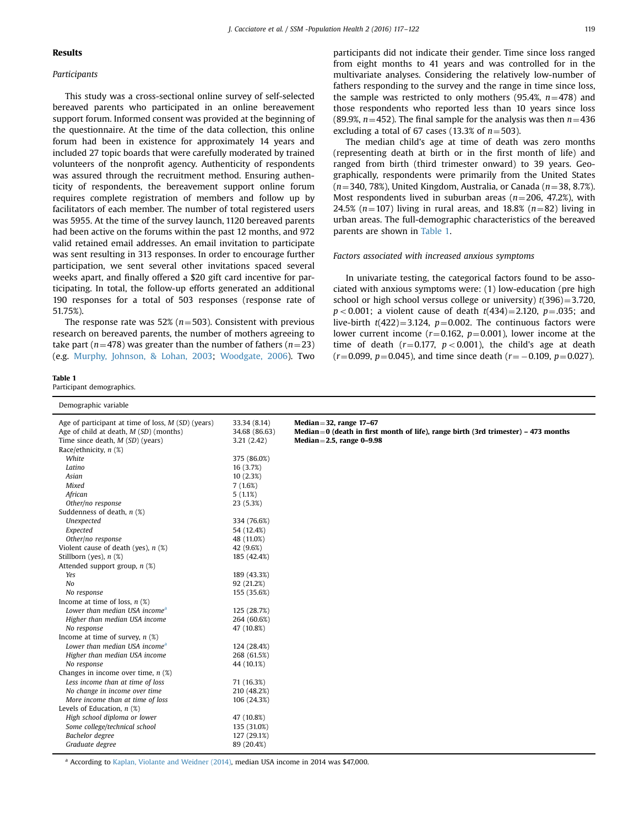#### Results

#### Participants

This study was a cross-sectional online survey of self-selected bereaved parents who participated in an online bereavement support forum. Informed consent was provided at the beginning of the questionnaire. At the time of the data collection, this online forum had been in existence for approximately 14 years and included 27 topic boards that were carefully moderated by trained volunteers of the nonprofit agency. Authenticity of respondents was assured through the recruitment method. Ensuring authenticity of respondents, the bereavement support online forum requires complete registration of members and follow up by facilitators of each member. The number of total registered users was 5955. At the time of the survey launch, 1120 bereaved parents had been active on the forums within the past 12 months, and 972 valid retained email addresses. An email invitation to participate was sent resulting in 313 responses. In order to encourage further participation, we sent several other invitations spaced several weeks apart, and finally offered a \$20 gift card incentive for participating. In total, the follow-up efforts generated an additional 190 responses for a total of 503 responses (response rate of 51.75%).

The response rate was 52% ( $n=503$ ). Consistent with previous research on bereaved parents, the number of mothers agreeing to take part ( $n=478$ ) was greater than the number of fathers ( $n=23$ ) (e.g. Murphy, Johnson, & Lohan, 2003; Woodgate, 2006). Two

#### Table 1

Participant demographics.

participants did not indicate their gender. Time since loss ranged from eight months to 41 years and was controlled for in the multivariate analyses. Considering the relatively low-number of fathers responding to the survey and the range in time since loss, the sample was restricted to only mothers (95.4%,  $n=478$ ) and those respondents who reported less than 10 years since loss (89.9%,  $n=452$ ). The final sample for the analysis was then  $n=436$ excluding a total of 67 cases (13.3% of  $n=503$ ).

The median child's age at time of death was zero months (representing death at birth or in the first month of life) and ranged from birth (third trimester onward) to 39 years. Geographically, respondents were primarily from the United States  $(n=340, 78%)$ , United Kingdom, Australia, or Canada ( $n=38, 8.7%$ ). Most respondents lived in suburban areas ( $n=206$ , 47.2%), with 24.5% ( $n=107$ ) living in rural areas, and 18.8% ( $n=82$ ) living in urban areas. The full-demographic characteristics of the bereaved parents are shown in Table 1.

#### Factors associated with increased anxious symptoms

In univariate testing, the categorical factors found to be associated with anxious symptoms were: (1) low-education (pre high school or high school versus college or university)  $t(396) = 3.720$ ,  $p < 0.001$ ; a violent cause of death  $t(434)=2.120$ ,  $p=.035$ ; and live-birth  $t(422)=3.124$ ,  $p=0.002$ . The continuous factors were lower current income ( $r=0.162$ ,  $p=0.001$ ), lower income at the time of death ( $r=0.177$ ,  $p<0.001$ ), the child's age at death  $(r=0.099, p=0.045)$ , and time since death  $(r=-0.109, p=0.027)$ .

| Demographic variable                                |               |                                                                                       |
|-----------------------------------------------------|---------------|---------------------------------------------------------------------------------------|
| Age of participant at time of loss, $M(SD)$ (years) | 33.34 (8.14)  | Median = $32$ , range $17-67$                                                         |
| Age of child at death, $M(SD)$ (months)             | 34.68 (86.63) | Median = $0$ (death in first month of life), range birth (3rd trimester) - 473 months |
| Time since death, $M(SD)$ (years)                   | 3.21(2.42)    | Median = $2.5$ , range 0-9.98                                                         |
| Race/ethnicity, $n$ (%)                             |               |                                                                                       |
| White                                               | 375 (86.0%)   |                                                                                       |
| Latino                                              | 16 (3.7%)     |                                                                                       |
| Asian                                               | 10(2.3%)      |                                                                                       |
| Mixed                                               | 7(1.6%)       |                                                                                       |
| African                                             | 5(1.1%)       |                                                                                       |
| Other/no response                                   | 23 (5.3%)     |                                                                                       |
| Suddenness of death, $n$ (%)                        |               |                                                                                       |
| Unexpected                                          | 334 (76.6%)   |                                                                                       |
| Expected                                            | 54 (12.4%)    |                                                                                       |
| Other/no response                                   | 48 (11.0%)    |                                                                                       |
| Violent cause of death (yes), $n$ (%)               | 42 (9.6%)     |                                                                                       |
| Stillborn (yes), $n$ (%)                            | 185 (42.4%)   |                                                                                       |
| Attended support group, $n$ (%)                     |               |                                                                                       |
| Yes                                                 | 189 (43.3%)   |                                                                                       |
| No                                                  | 92 (21.2%)    |                                                                                       |
| No response                                         | 155 (35.6%)   |                                                                                       |
| Income at time of loss, $n$ (%)                     |               |                                                                                       |
| Lower than median USA income <sup>a</sup>           | 125 (28.7%)   |                                                                                       |
| Higher than median USA income                       | 264 (60.6%)   |                                                                                       |
| No response                                         | 47 (10.8%)    |                                                                                       |
| Income at time of survey, $n$ (%)                   |               |                                                                                       |
| Lower than median USA income <sup>a</sup>           | 124 (28.4%)   |                                                                                       |
| Higher than median USA income                       | 268 (61.5%)   |                                                                                       |
| No response                                         | 44 (10.1%)    |                                                                                       |
| Changes in income over time, $n$ (%)                |               |                                                                                       |
| Less income than at time of loss                    | 71 (16.3%)    |                                                                                       |
| No change in income over time                       | 210 (48.2%)   |                                                                                       |
| More income than at time of loss                    | 106 (24.3%)   |                                                                                       |
| Levels of Education, $n$ (%)                        |               |                                                                                       |
| High school diploma or lower                        | 47 (10.8%)    |                                                                                       |
| Some college/technical school                       | 135 (31.0%)   |                                                                                       |
| Bachelor degree                                     | 127 (29.1%)   |                                                                                       |
| Graduate degree                                     | 89 (20.4%)    |                                                                                       |

<sup>a</sup> According to Kaplan, Violante and Weidner (2014), median USA income in 2014 was \$47,000.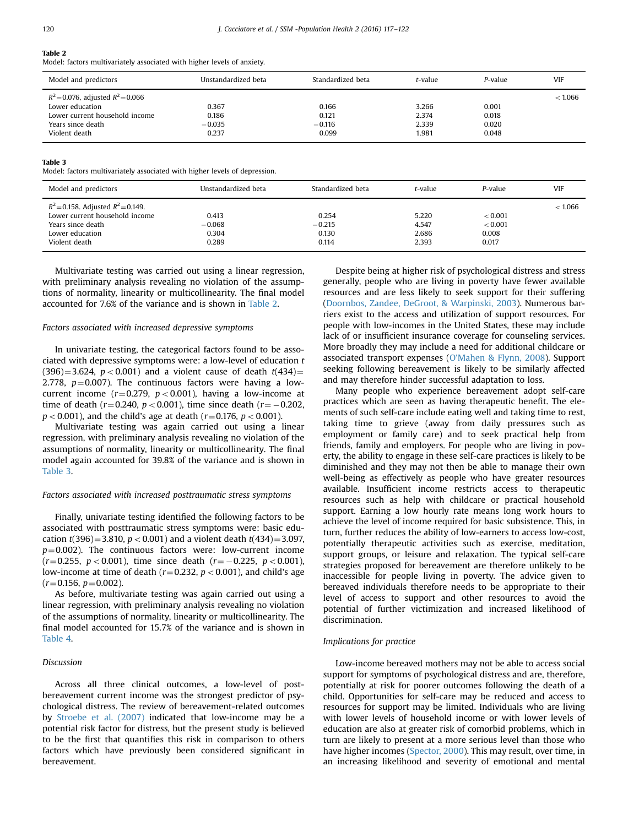#### Table 2

Model: factors multivariately associated with higher levels of anxiety.

| Model and predictors                                                                                                             | Unstandardized beta                 | Standardized beta                   | t-value                          | P-value                          | VIF     |
|----------------------------------------------------------------------------------------------------------------------------------|-------------------------------------|-------------------------------------|----------------------------------|----------------------------------|---------|
| $R^2$ = 0.076, adjusted $R^2$ = 0.066<br>Lower education<br>Lower current household income<br>Years since death<br>Violent death | 0.367<br>0.186<br>$-0.035$<br>0.237 | 0.166<br>0.121<br>$-0.116$<br>0.099 | 3.266<br>2.374<br>2.339<br>1.981 | 0.001<br>0.018<br>0.020<br>0.048 | < 1.066 |

#### Table 3

Model: factors multivariately associated with higher levels of depression.

| Model and predictors                                                                                                                | Unstandardized beta                 | Standardized beta                   | t-value                          | P-value                              | VIF     |
|-------------------------------------------------------------------------------------------------------------------------------------|-------------------------------------|-------------------------------------|----------------------------------|--------------------------------------|---------|
| $R^2 = 0.158$ . Adjusted $R^2 = 0.149$ .<br>Lower current household income<br>Years since death<br>Lower education<br>Violent death | 0.413<br>$-0.068$<br>0.304<br>0.289 | 0.254<br>$-0.215$<br>0.130<br>0.114 | 5.220<br>4.547<br>2.686<br>2.393 | < 0.001<br>< 0.001<br>0.008<br>0.017 | < 1.066 |

Multivariate testing was carried out using a linear regression, with preliminary analysis revealing no violation of the assumptions of normality, linearity or multicollinearity. The final model accounted for 7.6% of the variance and is shown in Table 2.

### Factors associated with increased depressive symptoms

In univariate testing, the categorical factors found to be associated with depressive symptoms were: a low-level of education t  $(396)=3.624$ ,  $p < 0.001$ ) and a violent cause of death  $t(434)=$ 2.778,  $p=0.007$ ). The continuous factors were having a lowcurrent income  $(r=0.279, p<0.001)$ , having a low-income at time of death ( $r=0.240$ ,  $p < 0.001$ ), time since death ( $r = -0.202$ ,  $p < 0.001$ ), and the child's age at death ( $r = 0.176$ ,  $p < 0.001$ ).

Multivariate testing was again carried out using a linear regression, with preliminary analysis revealing no violation of the assumptions of normality, linearity or multicollinearity. The final model again accounted for 39.8% of the variance and is shown in Table 3.

#### Factors associated with increased posttraumatic stress symptoms

Finally, univariate testing identified the following factors to be associated with posttraumatic stress symptoms were: basic education  $t(396) = 3.810$ ,  $p < 0.001$ ) and a violent death  $t(434) = 3.097$ ,  $p=0.002$ ). The continuous factors were: low-current income  $(r=0.255, p<0.001)$ , time since death  $(r=-0.225, p<0.001)$ , low-income at time of death ( $r=0.232$ ,  $p<0.001$ ), and child's age  $(r=0.156, p=0.002)$ .

As before, multivariate testing was again carried out using a linear regression, with preliminary analysis revealing no violation of the assumptions of normality, linearity or multicollinearity. The final model accounted for 15.7% of the variance and is shown in Table 4.

#### Discussion

Across all three clinical outcomes, a low-level of postbereavement current income was the strongest predictor of psychological distress. The review of bereavement-related outcomes by Stroebe et al. (2007) indicated that low-income may be a potential risk factor for distress, but the present study is believed to be the first that quantifies this risk in comparison to others factors which have previously been considered significant in bereavement.

Despite being at higher risk of psychological distress and stress generally, people who are living in poverty have fewer available resources and are less likely to seek support for their suffering (Doornbos, Zandee, DeGroot, & Warpinski, 2003). Numerous barriers exist to the access and utilization of support resources. For people with low-incomes in the United States, these may include lack of or insufficient insurance coverage for counseling services. More broadly they may include a need for additional childcare or associated transport expenses (O'Mahen & Flynn, 2008). Support seeking following bereavement is likely to be similarly affected and may therefore hinder successful adaptation to loss.

Many people who experience bereavement adopt self-care practices which are seen as having therapeutic benefit. The elements of such self-care include eating well and taking time to rest, taking time to grieve (away from daily pressures such as employment or family care) and to seek practical help from friends, family and employers. For people who are living in poverty, the ability to engage in these self-care practices is likely to be diminished and they may not then be able to manage their own well-being as effectively as people who have greater resources available. Insufficient income restricts access to therapeutic resources such as help with childcare or practical household support. Earning a low hourly rate means long work hours to achieve the level of income required for basic subsistence. This, in turn, further reduces the ability of low-earners to access low-cost, potentially therapeutic activities such as exercise, meditation, support groups, or leisure and relaxation. The typical self-care strategies proposed for bereavement are therefore unlikely to be inaccessible for people living in poverty. The advice given to bereaved individuals therefore needs to be appropriate to their level of access to support and other resources to avoid the potential of further victimization and increased likelihood of discrimination.

### Implications for practice

Low-income bereaved mothers may not be able to access social support for symptoms of psychological distress and are, therefore, potentially at risk for poorer outcomes following the death of a child. Opportunities for self-care may be reduced and access to resources for support may be limited. Individuals who are living with lower levels of household income or with lower levels of education are also at greater risk of comorbid problems, which in turn are likely to present at a more serious level than those who have higher incomes (Spector, 2000). This may result, over time, in an increasing likelihood and severity of emotional and mental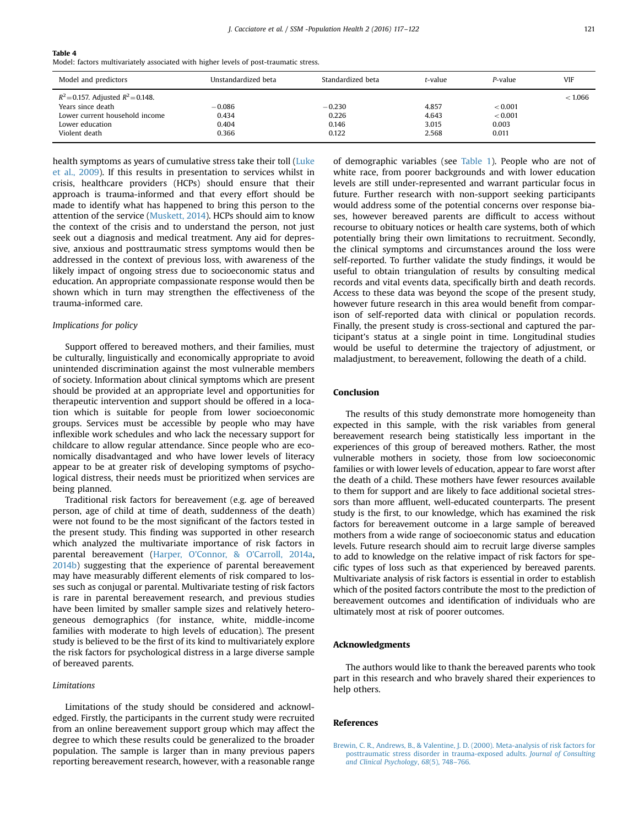| Table 4                                                                               |  |  |  |
|---------------------------------------------------------------------------------------|--|--|--|
| Model: factors multivariately associated with higher levels of post-traumatic stress. |  |  |  |

| Model and predictors                                                                                                              | Unstandardized beta                 | Standardized beta                   | t-value                          | P-value                              | VIF     |
|-----------------------------------------------------------------------------------------------------------------------------------|-------------------------------------|-------------------------------------|----------------------------------|--------------------------------------|---------|
| $R^2$ = 0.157. Adjusted $R^2$ = 0.148.<br>Years since death<br>Lower current household income<br>Lower education<br>Violent death | $-0.086$<br>0.434<br>0.404<br>0.366 | $-0.230$<br>0.226<br>0.146<br>0.122 | 4.857<br>4.643<br>3.015<br>2.568 | < 0.001<br>< 0.001<br>0.003<br>0.011 | < 1.066 |

health symptoms as years of cumulative stress take their toll (Luke et al., 2009). If this results in presentation to services whilst in crisis, healthcare providers (HCPs) should ensure that their approach is trauma-informed and that every effort should be made to identify what has happened to bring this person to the attention of the service (Muskett, 2014). HCPs should aim to know the context of the crisis and to understand the person, not just seek out a diagnosis and medical treatment. Any aid for depressive, anxious and posttraumatic stress symptoms would then be addressed in the context of previous loss, with awareness of the likely impact of ongoing stress due to socioeconomic status and education. An appropriate compassionate response would then be shown which in turn may strengthen the effectiveness of the trauma-informed care.

## Implications for policy

Support offered to bereaved mothers, and their families, must be culturally, linguistically and economically appropriate to avoid unintended discrimination against the most vulnerable members of society. Information about clinical symptoms which are present should be provided at an appropriate level and opportunities for therapeutic intervention and support should be offered in a location which is suitable for people from lower socioeconomic groups. Services must be accessible by people who may have inflexible work schedules and who lack the necessary support for childcare to allow regular attendance. Since people who are economically disadvantaged and who have lower levels of literacy appear to be at greater risk of developing symptoms of psychological distress, their needs must be prioritized when services are being planned.

Traditional risk factors for bereavement (e.g. age of bereaved person, age of child at time of death, suddenness of the death) were not found to be the most significant of the factors tested in the present study. This finding was supported in other research which analyzed the multivariate importance of risk factors in parental bereavement (Harper, O'Connor, & O'Carroll, 2014a, 2014b) suggesting that the experience of parental bereavement may have measurably different elements of risk compared to losses such as conjugal or parental. Multivariate testing of risk factors is rare in parental bereavement research, and previous studies have been limited by smaller sample sizes and relatively heterogeneous demographics (for instance, white, middle-income families with moderate to high levels of education). The present study is believed to be the first of its kind to multivariately explore the risk factors for psychological distress in a large diverse sample of bereaved parents.

#### Limitations

Limitations of the study should be considered and acknowledged. Firstly, the participants in the current study were recruited from an online bereavement support group which may affect the degree to which these results could be generalized to the broader population. The sample is larger than in many previous papers reporting bereavement research, however, with a reasonable range of demographic variables (see Table 1). People who are not of white race, from poorer backgrounds and with lower education levels are still under-represented and warrant particular focus in future. Further research with non-support seeking participants would address some of the potential concerns over response biases, however bereaved parents are difficult to access without recourse to obituary notices or health care systems, both of which potentially bring their own limitations to recruitment. Secondly, the clinical symptoms and circumstances around the loss were self-reported. To further validate the study findings, it would be useful to obtain triangulation of results by consulting medical records and vital events data, specifically birth and death records. Access to these data was beyond the scope of the present study, however future research in this area would benefit from comparison of self-reported data with clinical or population records. Finally, the present study is cross-sectional and captured the participant's status at a single point in time. Longitudinal studies would be useful to determine the trajectory of adjustment, or maladjustment, to bereavement, following the death of a child.

#### Conclusion

The results of this study demonstrate more homogeneity than expected in this sample, with the risk variables from general bereavement research being statistically less important in the experiences of this group of bereaved mothers. Rather, the most vulnerable mothers in society, those from low socioeconomic families or with lower levels of education, appear to fare worst after the death of a child. These mothers have fewer resources available to them for support and are likely to face additional societal stressors than more affluent, well-educated counterparts. The present study is the first, to our knowledge, which has examined the risk factors for bereavement outcome in a large sample of bereaved mothers from a wide range of socioeconomic status and education levels. Future research should aim to recruit large diverse samples to add to knowledge on the relative impact of risk factors for specific types of loss such as that experienced by bereaved parents. Multivariate analysis of risk factors is essential in order to establish which of the posited factors contribute the most to the prediction of bereavement outcomes and identification of individuals who are ultimately most at risk of poorer outcomes.

#### Acknowledgments

The authors would like to thank the bereaved parents who took part in this research and who bravely shared their experiences to help others.

#### References

[Brewin, C. R., Andrews, B., & Valentine, J. D. \(2000\). Meta-analysis of risk factors for](http://refhub.elsevier.com/S2352-8273(16)00016-1/sbref1) [posttraumatic stress disorder in trauma-exposed adults.](http://refhub.elsevier.com/S2352-8273(16)00016-1/sbref1) Journal of Consulting [and Clinical Psychology](http://refhub.elsevier.com/S2352-8273(16)00016-1/sbref1), 68(5), 748–766.